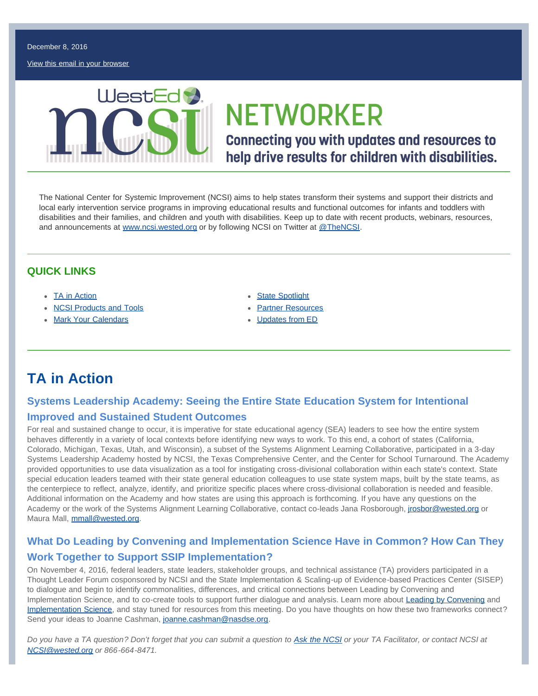December 8, 2016

[View this email in your browser](http://us11.campaign-archive2.com/?u=124d54c6ffba47617c0195645&id=eb5a1f5545&e=[UNIQID])



# **NETWORKER**

**Connecting you with updates and resources to** help drive results for children with disabilities.

The National Center for Systemic Improvement (NCSI) aims to help states transform their systems and support their districts and local early intervention service programs in improving educational results and functional outcomes for infants and toddlers with disabilities and their families, and children and youth with disabilities. Keep up to date with recent products, webinars, resources, and announcements at [www.ncsi.wested.org](http://www.ncsi.wested.org/) or by following NCSI on Twitter at [@TheNCSI.](https://twitter.com/TheNCSI)

### **QUICK LINKS**

- [TA in Action](#page-0-0)
- **[NCSI Products and Tools](#page-1-0)**
- [Mark Your Calendars](#page-1-1)
- **[State Spotlight](#page-1-2)**
- **[Partner Resources](#page-2-0)**
- [Updates from ED](#page-2-1)

# <span id="page-0-0"></span>**TA in Action**

### **Systems Leadership Academy: Seeing the Entire State Education System for Intentional Improved and Sustained Student Outcomes**

For real and sustained change to occur, it is imperative for state educational agency (SEA) leaders to see how the entire system behaves differently in a variety of local contexts before identifying new ways to work. To this end, a cohort of states (California, Colorado, Michigan, Texas, Utah, and Wisconsin), a subset of the Systems Alignment Learning Collaborative, participated in a 3-day Systems Leadership Academy hosted by NCSI, the Texas Comprehensive Center, and the Center for School Turnaround. The Academy provided opportunities to use data visualization as a tool for instigating cross-divisional collaboration within each state's context. State special education leaders teamed with their state general education colleagues to use state system maps, built by the state teams, as the centerpiece to reflect, analyze, identify, and prioritize specific places where cross-divisional collaboration is needed and feasible. Additional information on the Academy and how states are using this approach is forthcoming. If you have any questions on the Academy or the work of the Systems Alignment Learning Collaborative, contact co-leads Jana Rosborough, [jrosbor@wested.org](mailto:jrosbor@wested.org) or Maura Mall, [mmall@wested.org](mailto:mmall@wested.org).

### **What Do Leading by Convening and Implementation Science Have in Common? How Can They Work Together to Support SSIP Implementation?**

On November 4, 2016, federal leaders, state leaders, stakeholder groups, and technical assistance (TA) providers participated in a Thought Leader Forum cosponsored by NCSI and the State Implementation & Scaling-up of Evidence-based Practices Center (SISEP) to dialogue and begin to identify commonalities, differences, and critical connections between Leading by Convening and Implementation Science, and to co-create tools to support further dialogue and analysis. Learn more about [Leading by Convening](http://www.ideapartnership.org/building-connections/the-partnership-way.html) and [Implementation Science,](http://sisep.fpg.unc.edu/) and stay tuned for resources from this meeting. Do you have thoughts on how these two frameworks connect? Send your ideas to Joanne Cashman, [joanne.cashman@nasdse.org.](mailto:joanne.cashman@nasdse.org)

*Do you have a TA question? Don't forget that you can submit a question to [Ask the NCSI](https://ncsi.wested.org/ask-the-ncsi/) or your TA Facilitator, or contact NCSI at [NCSI@wested.org](mailto:NCSI@wested.org) or 866-664-8471.*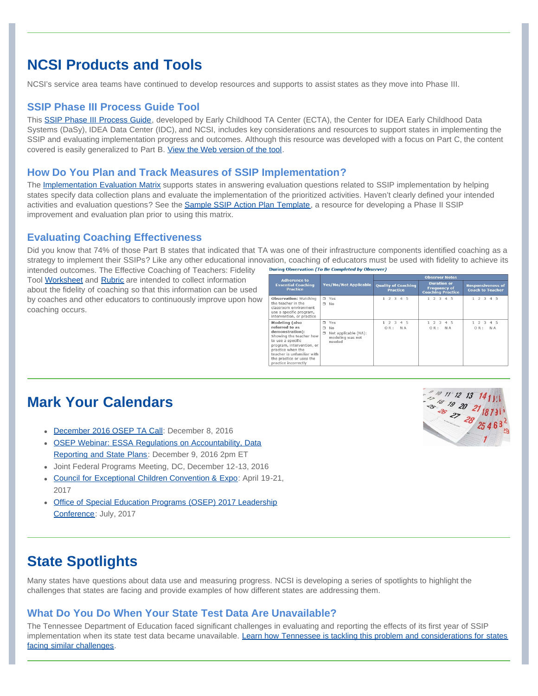## <span id="page-1-0"></span>**NCSI Products and Tools**

NCSI's service area teams have continued to develop resources and supports to assist states as they move into Phase III.

### **SSIP Phase III Process Guide Tool**

This [SSIP Phase III Process Guide,](https://ncsi.wested.org/wp-content/uploads/2016/09/SSIP_Phase_III_Process_Guide-2016-09-02.pdf) developed by Early Childhood TA Center (ECTA), the Center for IDEA Early Childhood Data Systems (DaSy), IDEA Data Center (IDC), and NCSI, includes key considerations and resources to support states in implementing the SSIP and evaluating implementation progress and outcomes. Although this resource was developed with a focus on Part C, the content covered is easily generalized to Part B. [View the Web version of the tool.](http://ectacenter.org/topics/ssip/ssip_phase3.asp)

### **How Do You Plan and Track Measures of SSIP Implementation?**

The [Implementation Evaluation Matrix](http://ncsi.wested.org/wp-content/uploads/2016/03/Implementation_Evaluation_Matrix-1.docx) supports states in answering evaluation questions related to SSIP implementation by helping states specify data collection plans and evaluate the implementation of the prioritized activities. Haven't clearly defined your intended activities and evaluation questions? See the [Sample SSIP Action Plan Template](http://ectacenter.org/~docs/topics/ssip/ssip_improvement_plan_template.doc), a resource for developing a Phase II SSIP improvement and evaluation plan prior to using this matrix.

### **Evaluating Coaching Effectiveness**

Did you know that 74% of those Part B states that indicated that TA was one of their infrastructure components identified coaching as a strategy to implement their SSIPs? Like any other educational innovation, coaching of educators must be used with fidelity to achieve its During Observation (To Be Completed by Observer)

intended outcomes. The Effective Coaching of Teachers: Fidelity Tool [Worksheet](http://ncsi.wested.org/wp-content/uploads/2016/09/CoachingFidelityTool_Worksheet_.docx) and [Rubric](http://ncsi.wested.org/wp-content/uploads/2016/09/CoachingFidelityTool_Rubric_.docx) are intended to collect information about the fidelity of coaching so that this information can be used by coaches and other educators to continuously improve upon how coaching occurs.

| <b>Adherence to</b><br><b>Essential Coaching</b><br><b>Practice</b>                                                                                                                                                                            | <b>Yes/No/Not Applicable</b>                                                              | <b>Observer Notes</b>                         |                                                                       |                                                     |
|------------------------------------------------------------------------------------------------------------------------------------------------------------------------------------------------------------------------------------------------|-------------------------------------------------------------------------------------------|-----------------------------------------------|-----------------------------------------------------------------------|-----------------------------------------------------|
|                                                                                                                                                                                                                                                |                                                                                           | <b>Quality of Coaching</b><br><b>Practice</b> | <b>Duration or</b><br><b>Frequency of</b><br><b>Coaching Practice</b> | <b>Responsiveness of</b><br><b>Coach to Teacher</b> |
| <b>Observation:</b> Watching<br>the teacher in the<br>classroom environment<br>use a specific program,<br>intervention, or practice                                                                                                            | $\square$ Yes<br>$\square$ No                                                             | $1\ 2\ 3\ 4\ 5$                               | 1 2 3 4 5                                                             | $1 \t2 \t3 \t4 \t5$                                 |
| <b>Modeling</b> (also<br>referred to as<br>demonstration):<br>Showing the teacher how<br>to use a specific<br>program, intervention, or<br>practice when the<br>teacher is unfamiliar with<br>the practice or uses the<br>practice incorrectly | $T$ Yes<br>N <sub>0</sub><br>π<br>Not applicable (NA):<br>σ<br>modeling was not<br>needed | 1 2 3 4 5<br>OR:<br>N A                       | 1 2 3 4 5<br>OR:<br>N A                                               | 1 2 3 4 5<br>OR:<br>N A                             |

## <span id="page-1-1"></span>**Mark Your Calendars**

- [December 2016 OSEP TA Call:](https://educate.webex.com/mw3000/mywebex/default.do?service=1&siteurl=educate&nomenu=true&main_url=%2Fmc3000%2Fe.do%3Fsiteurl%3Deducate%26AT%3DMI%26EventID%3D517589737%26UID%3D4651141122%26Host%3DQUhTSwAAAAKUsH4VQs0WvwbdoxQg6I2o3Jxn3AQAo7P919CJv8h-HSgbtf77t__soxmGSd7ZBsQkdcJwud6pch7dx8jgbo5W0%26FrameSet%3D2%26MTID%3Dm3e8426467ff4a43a7a4e5b19d66140d3) December 8, 2016
- [OSEP Webinar: ESSA Regulations on Accountability, Data](https://educate.webex.com/educate/j.php?MTID=m6e2210123fffab7374217c921551f547) [Reporting and State Plans](https://educate.webex.com/educate/j.php?MTID=m6e2210123fffab7374217c921551f547): December 9, 2016 2pm ET
- Joint Federal Programs Meeting, DC, December 12-13, 2016
- [Council for Exceptional Children Convention & Expo:](http://www.cecconvention.org/) April 19-21, 2017
- [Office of Special Education Programs \(OSEP\) 2017 Leadership](https://www.osepideasthatwork.org/resources-grantees/osep-meetings) [Conference](https://www.osepideasthatwork.org/resources-grantees/osep-meetings): July, 2017



## <span id="page-1-2"></span>**State Spotlights**

Many states have questions about data use and measuring progress. NCSI is developing a series of spotlights to highlight the challenges that states are facing and provide examples of how different states are addressing them.

### **What Do You Do When Your State Test Data Are Unavailable?**

The Tennessee Department of Education faced significant challenges in evaluating and reporting the effects of its first year of SSIP implementation when its state test data became unavailable. [Learn how Tennessee is tackling this problem and considerations for states](https://ncsi.wested.org/wp-content/uploads/2016/09/DATA-USE-CHALLENGES-SERIES-TN_Final-Version_508-Compliant.pdf) [facing similar challenges](https://ncsi.wested.org/wp-content/uploads/2016/09/DATA-USE-CHALLENGES-SERIES-TN_Final-Version_508-Compliant.pdf).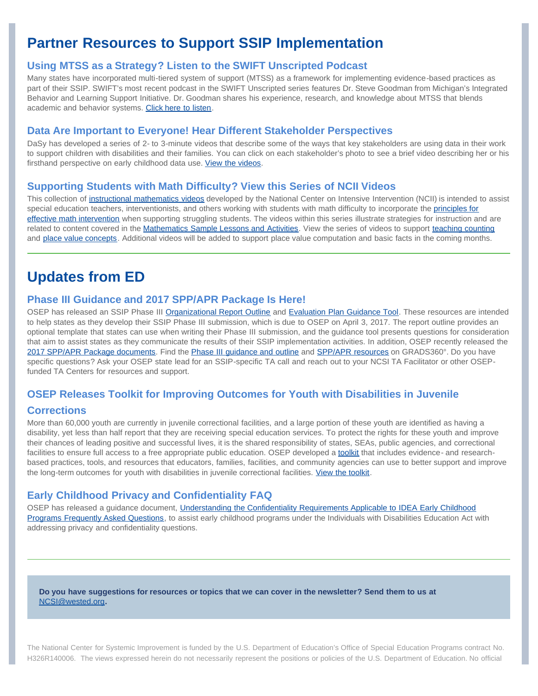# <span id="page-2-0"></span>**Partner Resources to Support SSIP Implementation**

### **Using MTSS as a Strategy? Listen to the SWIFT Unscripted Podcast**

Many states have incorporated multi-tiered system of support (MTSS) as a framework for implementing evidence-based practices as part of their SSIP. SWIFT's most recent podcast in the SWIFT Unscripted series features Dr. Steve Goodman from Michigan's Integrated Behavior and Learning Support Initiative. Dr. Goodman shares his experience, research, and knowledge about MTSS that blends academic and behavior systems. [Click here to listen.](https://soundcloud.com/user-562198250/steve-goodman-podcast)

### **Data Are Important to Everyone! Hear Different Stakeholder Perspectives**

DaSy has developed a series of 2- to 3-minute videos that describe some of the ways that key stakeholders are using data in their work to support children with disabilities and their families. You can click on each stakeholder's photo to see a brief video describing her or his firsthand perspective on early childhood data use. [View the videos.](http://dasycenter.org/perspectives-on-data-use/)

#### **Supporting Students with Math Difficulty? View this Series of NCII Videos**

This collection of [instructional mathematics videos](http://www.intensiveintervention.org/resource/mathematics-instructional-videos-supporting-students-math-difficulty) developed by the National Center on Intensive Intervention (NCII) is intended to assist special education teachers, interventionists, and others working with students with math difficulty to incorporate the [principles for](http://www.intensiveintervention.org/video-resource/what-should-we-consider-when-teaching-students-math-difficulty) [effective math intervention](http://www.intensiveintervention.org/video-resource/what-should-we-consider-when-teaching-students-math-difficulty) when supporting struggling students. The videos within this series illustrate strategies for instruction and are related to content covered in the [Mathematics Sample Lessons and Activities](http://www.intensiveintervention.org/resources/sample-lessons-activities/mathematics). View the series of videos to support [teaching counting](http://www.intensiveintervention.org/resource/teaching-counting-instructional-videos) and [place value concepts.](http://www.intensiveintervention.org/resource/place-value-concepts-instructional-videos) Additional videos will be added to support place value computation and basic facts in the coming months.

### <span id="page-2-1"></span>**Updates from ED**

#### **Phase III Guidance and 2017 SPP/APR Package Is Here!**

OSEP has released an SSIP Phase III [Organizational Report Outline](https://osep.grads360.org/#communities/pdc/documents/12905) and [Evaluation Plan Guidance Tool](https://osep.grads360.org/#communities/pdc/documents/12904). These resources are intended to help states as they develop their SSIP Phase III submission, which is due to OSEP on April 3, 2017. The report outline provides an optional template that states can use when writing their Phase III submission, and the guidance tool presents questions for consideration that aim to assist states as they communicate the results of their SSIP implementation activities. In addition, OSEP recently released the [2017 SPP/APR Package documents](https://osep.grads360.org/#program/spp-apr-resources). Find the [Phase III guidance and outline](https://osep.grads360.org/#program/ssip) and [SPP/APR resources](https://osep.grads360.org/#program/spp-apr-resources) on GRADS360°. Do you have specific questions? Ask your OSEP state lead for an SSIP-specific TA call and reach out to your NCSI TA Facilitator or other OSEPfunded TA Centers for resources and support.

### **OSEP Releases Toolkit for Improving Outcomes for Youth with Disabilities in Juvenile**

#### **Corrections**

More than 60,000 youth are currently in juvenile correctional facilities, and a large portion of these youth are identified as having a disability, yet less than half report that they are receiving special education services. To protect the rights for these youth and improve their chances of leading positive and successful lives, it is the shared responsibility of states, SEAs, public agencies, and correctional facilities to ensure full access to a free appropriate public education. OSEP developed a [toolkit](https://www.osepideasthatwork.org/jj) that includes evidence- and researchbased practices, tools, and resources that educators, families, facilities, and community agencies can use to better support and improve the long-term outcomes for youth with disabilities in juvenile correctional facilities. [View the toolkit.](https://www.osepideasthatwork.org/jj)

#### **Early Childhood Privacy and Confidentiality FAQ**

OSEP has released a guidance document, [Understanding the Confidentiality Requirements Applicable to IDEA Early Childhood](http://www2.ed.gov/policy/speced/guid/idea/memosdcltrs/idea-confidentiality-requirements-faq.pdf) [Programs Frequently Asked Questions,](http://www2.ed.gov/policy/speced/guid/idea/memosdcltrs/idea-confidentiality-requirements-faq.pdf) to assist early childhood programs under the Individuals with Disabilities Education Act with addressing privacy and confidentiality questions.

#### **Do you have suggestions for resources or topics that we can cover in the newsletter? Send them to us at** [NCSI@wested.org](mailto:NCSI@wested.org)**.**

The National Center for Systemic Improvement is funded by the U.S. Department of Education's Office of Special Education Programs contract No. H326R140006. The views expressed herein do not necessarily represent the positions or policies of the U.S. Department of Education. No official